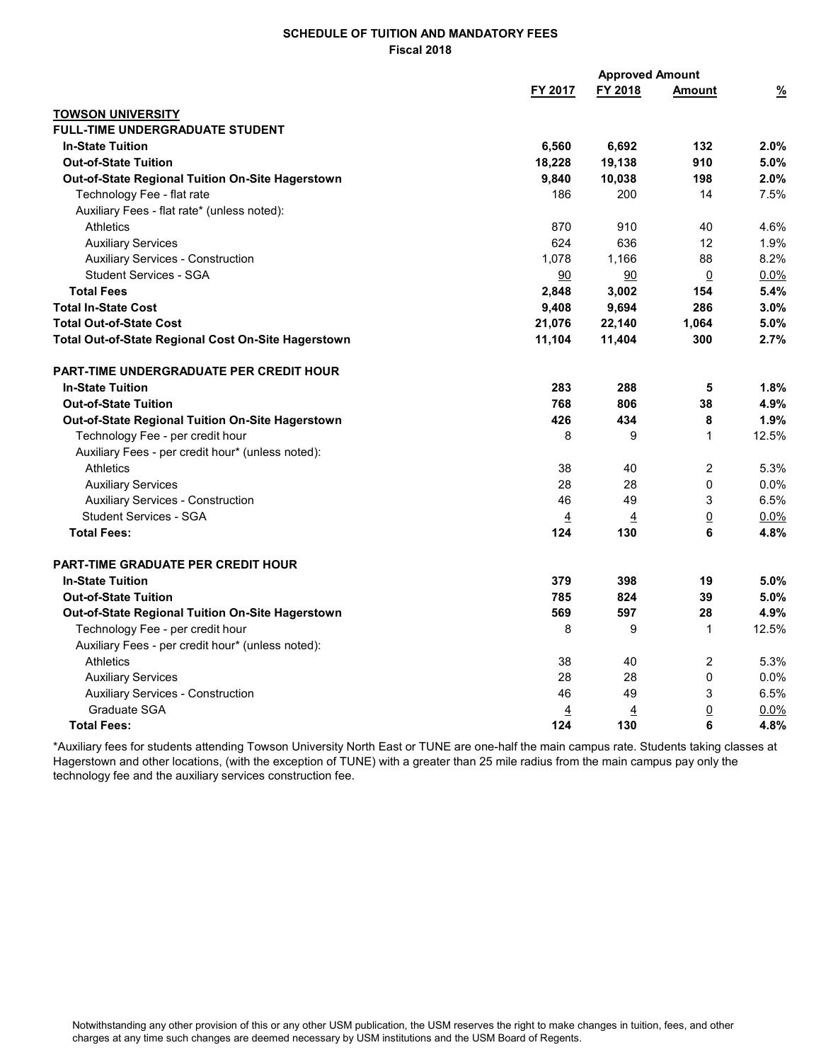## SCHEDULE OF TUITION AND MANDATORY FEES Fiscal 2018

|                                                     |                | <b>Approved Amount</b> |                 |               |
|-----------------------------------------------------|----------------|------------------------|-----------------|---------------|
|                                                     | FY 2017        | FY 2018                | <b>Amount</b>   | $\frac{9}{6}$ |
| <b>TOWSON UNIVERSITY</b>                            |                |                        |                 |               |
| <b>FULL-TIME UNDERGRADUATE STUDENT</b>              |                |                        |                 |               |
| <b>In-State Tuition</b>                             | 6,560          | 6,692                  | 132             | 2.0%          |
| <b>Out-of-State Tuition</b>                         | 18,228         | 19,138                 | 910             | 5.0%          |
| Out-of-State Regional Tuition On-Site Hagerstown    | 9,840          | 10,038                 | 198             | 2.0%          |
| Technology Fee - flat rate                          | 186            | 200                    | 14              | 7.5%          |
| Auxiliary Fees - flat rate* (unless noted):         |                |                        |                 |               |
| <b>Athletics</b>                                    | 870            | 910                    | 40              | 4.6%          |
| <b>Auxiliary Services</b>                           | 624            | 636                    | 12              | 1.9%          |
| <b>Auxiliary Services - Construction</b>            | 1,078          | 1,166                  | 88              | 8.2%          |
| <b>Student Services - SGA</b>                       | 90             | 90                     | $\overline{0}$  | $0.0\%$       |
| <b>Total Fees</b>                                   | 2,848          | 3,002                  | 154             | 5.4%          |
| <b>Total In-State Cost</b>                          | 9,408          | 9,694                  | 286             | $3.0\%$       |
| <b>Total Out-of-State Cost</b>                      | 21,076         | 22,140                 | 1,064           | 5.0%          |
| Total Out-of-State Regional Cost On-Site Hagerstown | 11,104         | 11,404                 | 300             | 2.7%          |
| PART-TIME UNDERGRADUATE PER CREDIT HOUR             |                |                        |                 |               |
| <b>In-State Tuition</b>                             | 283            | 288                    | 5               | 1.8%          |
| <b>Out-of-State Tuition</b>                         | 768            | 806                    | 38              | 4.9%          |
| Out-of-State Regional Tuition On-Site Hagerstown    | 426            | 434                    | 8               | 1.9%          |
| Technology Fee - per credit hour                    | 8              | 9                      | 1               | 12.5%         |
| Auxiliary Fees - per credit hour* (unless noted):   |                |                        |                 |               |
| <b>Athletics</b>                                    | 38             | 40                     | 2               | 5.3%          |
| <b>Auxiliary Services</b>                           | 28             | 28                     | 0               | $0.0\%$       |
| <b>Auxiliary Services - Construction</b>            | 46             | 49                     | 3               | 6.5%          |
| <b>Student Services - SGA</b>                       | $\overline{4}$ | $\overline{4}$         | $\underline{0}$ | $0.0\%$       |
| <b>Total Fees:</b>                                  | 124            | 130                    | 6               | 4.8%          |
| <b>PART-TIME GRADUATE PER CREDIT HOUR</b>           |                |                        |                 |               |
| <b>In-State Tuition</b>                             | 379            | 398                    | 19              | 5.0%          |
| <b>Out-of-State Tuition</b>                         | 785            | 824                    | 39              | 5.0%          |
| Out-of-State Regional Tuition On-Site Hagerstown    | 569            | 597                    | 28              | 4.9%          |
| Technology Fee - per credit hour                    | 8              | 9                      | $\mathbf{1}$    | 12.5%         |
| Auxiliary Fees - per credit hour* (unless noted):   |                |                        |                 |               |
| <b>Athletics</b>                                    | 38             | 40                     | 2               | 5.3%          |
| <b>Auxiliary Services</b>                           | 28             | 28                     | 0               | 0.0%          |
| <b>Auxiliary Services - Construction</b>            | 46             | 49                     | 3               | 6.5%          |
| Graduate SGA                                        | $\overline{4}$ | <u>4</u>               | $\underline{0}$ | 0.0%          |
| <b>Total Fees:</b>                                  | 124            | 130                    | 6               | 4.8%          |

\*Auxiliary fees for students attending Towson University North East or TUNE are one-half the main campus rate. Students taking classes at Hagerstown and other locations, (with the exception of TUNE) with a greater than 25 mile radius from the main campus pay only the technology fee and the auxiliary services construction fee.